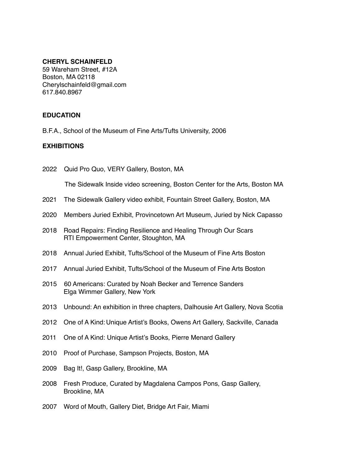#### **CHERYL SCHAINFELD**

59 Wareham Street, #12A Boston, MA 02118 Cherylschainfeld@gmail.com 617.840.8967

#### **EDUCATION**

B.F.A., School of the Museum of Fine Arts/Tufts University, 2006

#### **EXHIBITIONS**

2022 Quid Pro Quo, VERY Gallery, Boston, MA

The Sidewalk Inside video screening, Boston Center for the Arts, Boston MA

- 2021 The Sidewalk Gallery video exhibit, Fountain Street Gallery, Boston, MA
- 2020 Members Juried Exhibit, Provincetown Art Museum, Juried by Nick Capasso
- 2018 Road Repairs: Finding Resilience and Healing Through Our Scars RTI Empowerment Center, Stoughton, MA
- 2018 Annual Juried Exhibit, Tufts/School of the Museum of Fine Arts Boston
- 2017 Annual Juried Exhibit, Tufts/School of the Museum of Fine Arts Boston
- 2015 60 Americans: Curated by Noah Becker and Terrence Sanders Elga Wimmer Gallery, New York
- 2013 Unbound: An exhibition in three chapters, Dalhousie Art Gallery, Nova Scotia
- 2012 One of A Kind: Unique Artist's Books, Owens Art Gallery, Sackville, Canada
- 2011 One of A Kind: Unique Artist's Books, Pierre Menard Gallery
- 2010 Proof of Purchase, Sampson Projects, Boston, MA
- 2009 Bag It!, Gasp Gallery, Brookline, MA
- 2008 Fresh Produce, Curated by Magdalena Campos Pons, Gasp Gallery, Brookline, MA
- 2007 Word of Mouth, Gallery Diet, Bridge Art Fair, Miami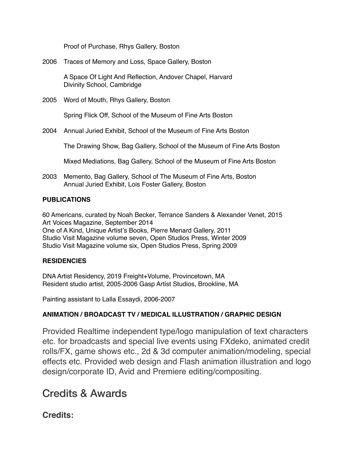Proof of Purchase, Rhys Gallery, Boston

2006 Traces of Memory and Loss, Space Gallery, Boston

A Space Of Light And Reflection, Andover Chapel, Harvard Divinity School, Cambridge

2005 Word of Mouth, Rhys Gallery, Boston

Spring Flick Off, School of the Museum of Fine Arts Boston

2004 Annual Juried Exhibit, School of the Museum of Fine Arts Boston

The Drawing Show, Bag Gallery, School of the Museum of Fine Arts Boston

Mixed Mediations, Bag Gallery, School of the Museum of Fine Arts Boston

2003 Memento, Bag Gallery, School of The Museum of Fine Arts, Boston Annual Juried Exhibit, Lois Foster Gallery, Boston

### **PUBLICATIONS**

60 Americans, curated by Noah Becker, Terrance Sanders & Alexander Venet, 2015 Art Voices Magazine, September 2014 One of A Kind, Unique Artist's Books, Pierre Menard Gallery, 2011 Studio Visit Magazine volume seven, Open Studios Press, Winter 2009 Studio Visit Magazine volume six, Open Studios Press, Spring 2009

# **RESIDENCIES**

DNA Artist Residency, 2019 Freight+Volume, Provincetown, MA Resident studio artist, 2005-2006 Gasp Artist Studios, Brookline, MA

Painting assistant to Lalla Essaydi, 2006-2007

# **ANIMATION / BROADCAST TV / MEDICAL ILLUSTRATION / GRAPHIC DESIGN**

Provided Realtime independent type/logo manipulation of text characters etc. for broadcasts and special live events using FXdeko, animated credit rolls/FX, game shows etc., 2d & 3d computer animation/modeling, special effects etc. Provided web design and Flash animation illustration and logo design/corporate ID, Avid and Premiere editing/compositing.

# Credits & Awards

# **Credits:**